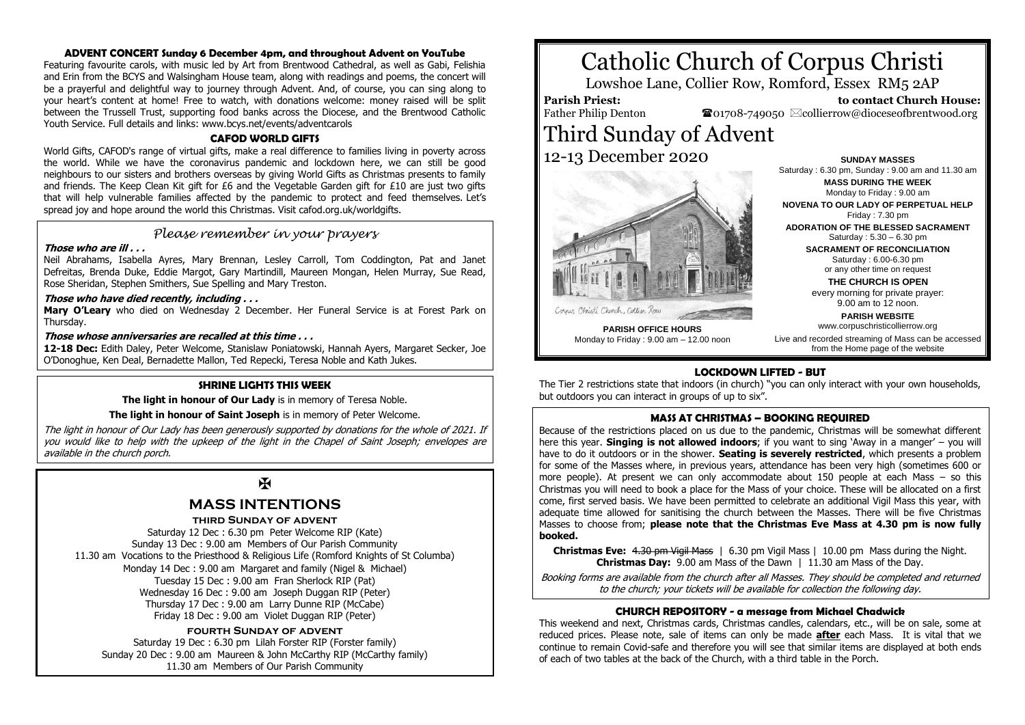## **ADVENT CONCERT Sunday 6 December 4pm, and throughout Advent on YouTube**

Featuring favourite carols, with music led by Art from Brentwood Cathedral, as well as Gabi, Felishia and Erin from the BCYS and Walsingham House team, along with readings and poems, the concert will be a prayerful and delightful way to journey through Advent. And, of course, you can sing along to your heart's content at home! Free to watch, with donations welcome: money raised will be split between the Trussell Trust, supporting food banks across the Diocese, and the Brentwood Catholic Youth Service. Full details and links: www.bcys.net/events/adventcarols

## **CAFOD WORLD GIFTS**

World Gifts, CAFOD's range of virtual gifts, make a real difference to families living in poverty across the world. While we have the coronavirus pandemic and lockdown here, we can still be good neighbours to our sisters and brothers overseas by giving World Gifts as Christmas presents to family and friends. The Keep Clean Kit gift for £6 and the Vegetable Garden gift for £10 are just two gifts that will help vulnerable families affected by the pandemic to protect and feed themselves. Let's spread joy and hope around the world this Christmas. Visit cafod.org.uk/worldgifts.

## *Please remember in your prayers*

## **Those who are ill . . .**

Neil Abrahams, Isabella Ayres, Mary Brennan, Lesley Carroll, Tom Coddington, Pat and Janet Defreitas, Brenda Duke, Eddie Margot, Gary Martindill, Maureen Mongan, Helen Murray, Sue Read, Rose Sheridan, Stephen Smithers, Sue Spelling and Mary Treston.

## **Those who have died recently, including . . .**

**Mary O'Leary** who died on Wednesday 2 December. Her Funeral Service is at Forest Park on Thursday.

## **Those whose anniversaries are recalled at this time . . .**

**12-18 Dec:** Edith Daley, Peter Welcome, Stanislaw Poniatowski, Hannah Ayers, Margaret Secker, Joe O'Donoghue, Ken Deal, Bernadette Mallon, Ted Repecki, Teresa Noble and Kath Jukes.

## **SHRINE LIGHTS THIS WEEK**

**The light in honour of Our Lady** is in memory of Teresa Noble.

**The light in honour of Saint Joseph** is in memory of Peter Welcome.

The light in honour of Our Lady has been generously supported by donations for the whole of 2021. If you would like to help with the upkeep of the light in the Chapel of Saint Joseph; envelopes are available in the church porch.

# $\mathbf K$

## **MASS INTENTIONS**

## **third Sunday of advent**

Saturday 12 Dec : 6.30 pm Peter Welcome RIP (Kate) Sunday 13 Dec : 9.00 am Members of Our Parish Community 11.30 am Vocations to the Priesthood & Religious Life (Romford Knights of St Columba) Monday 14 Dec : 9.00 am Margaret and family (Nigel & Michael) Tuesday 15 Dec : 9.00 am Fran Sherlock RIP (Pat) Wednesday 16 Dec : 9.00 am Joseph Duggan RIP (Peter) Thursday 17 Dec : 9.00 am Larry Dunne RIP (McCabe) Friday 18 Dec : 9.00 am Violet Duggan RIP (Peter)

## **fourth Sunday of advent**

Saturday 19 Dec : 6.30 pm Lilah Forster RIP (Forster family) Sunday 20 Dec : 9.00 am Maureen & John McCarthy RIP (McCarthy family) 11.30 am Members of Our Parish Community

# Catholic Church of Corpus Christi

Lowshoe Lane, Collier Row, Romford, Essex RM5 2AP

## **Parish Priest:**

Father Philip Denton

 **to contact Church House:**  $\bullet$ 01708-749050  $\boxtimes$ collierrow@dioceseofbrentwood.org

# Third Sunday of Advent 12-13 December 2020



**SUNDAY MASSES** Saturday : 6.30 pm, Sunday : 9.00 am and 11.30 am **MASS DURING THE WEEK** Monday to Friday : 9.00 am

**NOVENA TO OUR LADY OF PERPETUAL HELP** Friday : 7.30 pm

**ADORATION OF THE BLESSED SACRAMENT** Saturday : 5.30 – 6.30 pm

> **SACRAMENT OF RECONCILIATION** Saturday : 6.00-6.30 pm

or any other time on request **THE CHURCH IS OPEN**

every morning for private prayer: 9.00 am to 12 noon.

**PARISH WEBSITE** www.corpuschristicollierrow.org

**PARISH OFFICE HOURS** Monday to Friday : 9.00 am – 12.00 noon

Live and recorded streaming of Mass can be accessed from the Home page of the website

## **LOCKDOWN LIFTED - BUT**

The Tier 2 restrictions state that indoors (in church) "you can only interact with your own households, but outdoors you can interact in groups of up to six".

## **MASS AT CHRISTMAS – BOOKING REQUIRED**

Because of the restrictions placed on us due to the pandemic, Christmas will be somewhat different here this year. **Singing is not allowed indoors**; if you want to sing 'Away in a manger' – you will have to do it outdoors or in the shower. **Seating is severely restricted**, which presents a problem for some of the Masses where, in previous years, attendance has been very high (sometimes 600 or more people). At present we can only accommodate about 150 people at each Mass – so this Christmas you will need to book a place for the Mass of your choice. These will be allocated on a first come, first served basis. We have been permitted to celebrate an additional Vigil Mass this year, with adequate time allowed for sanitising the church between the Masses. There will be five Christmas Masses to choose from; **please note that the Christmas Eve Mass at 4.30 pm is now fully booked.**

**Christmas Eve:** 4.30 pm Vigil Mass | 6.30 pm Vigil Mass | 10.00 pm Mass during the Night. **Christmas Day:** 9.00 am Mass of the Dawn | 11.30 am Mass of the Day.

Booking forms are available from the church after all Masses. They should be completed and returned to the church; your tickets will be available for collection the following day.

## **CHURCH REPOSITORY - a message from Michael Chadwick**

This weekend and next, Christmas cards, Christmas candles, calendars, etc., will be on sale, some at reduced prices. Please note, sale of items can only be made **after** each Mass. It is vital that we continue to remain Covid-safe and therefore you will see that similar items are displayed at both ends of each of two tables at the back of the Church, with a third table in the Porch.